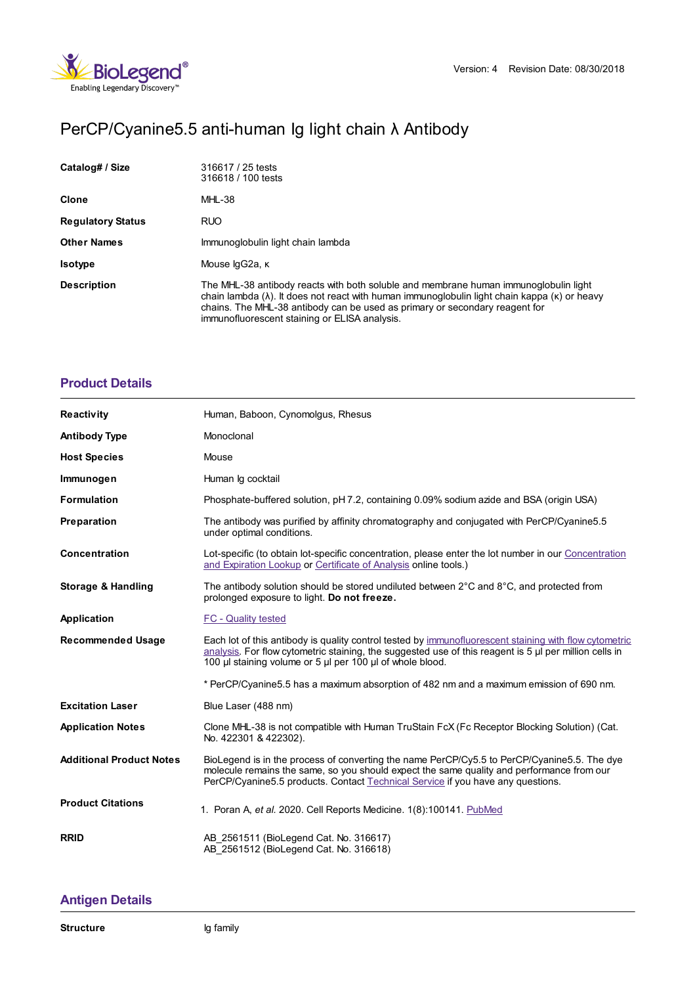

# PerCP/Cyanine5.5 anti-human Ig light chain λ Antibody

| Catalog# / Size          | 316617 / 25 tests<br>316618 / 100 tests                                                                                                                                                                                                                                                                                              |  |
|--------------------------|--------------------------------------------------------------------------------------------------------------------------------------------------------------------------------------------------------------------------------------------------------------------------------------------------------------------------------------|--|
| <b>Clone</b>             | MHL-38                                                                                                                                                                                                                                                                                                                               |  |
| <b>Regulatory Status</b> | <b>RUO</b>                                                                                                                                                                                                                                                                                                                           |  |
| <b>Other Names</b>       | Immunoglobulin light chain lambda                                                                                                                                                                                                                                                                                                    |  |
| <b>Isotype</b>           | Mouse lgG2a, к                                                                                                                                                                                                                                                                                                                       |  |
| <b>Description</b>       | The MHL-38 antibody reacts with both soluble and membrane human immunoglobulin light<br>chain lambda $(\lambda)$ . It does not react with human immunoglobulin light chain kappa $(\kappa)$ or heavy<br>chains. The MHL-38 antibody can be used as primary or secondary reagent for<br>immunofluorescent staining or ELISA analysis. |  |

## **[Product](https://www.biolegend.com/nl-be/products/percp-cyanine5-5-anti-human-ig-light-chain-lambda-antibody-8126?pdf=true&displayInline=true&leftRightMargin=15&topBottomMargin=15&filename=PerCP/Cyanine5.5 anti-human Ig light chain %EF%BF%BD%EF%BF%BD Antibody.pdf#productDetails) Details**

| <b>Reactivity</b>               | Human, Baboon, Cynomolgus, Rhesus                                                                                                                                                                                                                                             |  |
|---------------------------------|-------------------------------------------------------------------------------------------------------------------------------------------------------------------------------------------------------------------------------------------------------------------------------|--|
| <b>Antibody Type</b>            | Monoclonal                                                                                                                                                                                                                                                                    |  |
| <b>Host Species</b>             | Mouse                                                                                                                                                                                                                                                                         |  |
| Immunogen                       | Human Ig cocktail                                                                                                                                                                                                                                                             |  |
| <b>Formulation</b>              | Phosphate-buffered solution, pH 7.2, containing 0.09% sodium azide and BSA (origin USA)                                                                                                                                                                                       |  |
| Preparation                     | The antibody was purified by affinity chromatography and conjugated with PerCP/Cyanine5.5<br>under optimal conditions.                                                                                                                                                        |  |
| Concentration                   | Lot-specific (to obtain lot-specific concentration, please enter the lot number in our Concentration<br>and Expiration Lookup or Certificate of Analysis online tools.)                                                                                                       |  |
| <b>Storage &amp; Handling</b>   | The antibody solution should be stored undiluted between $2^{\circ}$ C and $8^{\circ}$ C, and protected from<br>prolonged exposure to light. Do not freeze.                                                                                                                   |  |
| Application                     | <b>FC - Quality tested</b>                                                                                                                                                                                                                                                    |  |
| <b>Recommended Usage</b>        | Each lot of this antibody is quality control tested by immunofluorescent staining with flow cytometric<br>analysis. For flow cytometric staining, the suggested use of this reagent is 5 µl per million cells in<br>100 µl staining volume or 5 µl per 100 µl of whole blood. |  |
|                                 | * PerCP/Cyanine5.5 has a maximum absorption of 482 nm and a maximum emission of 690 nm.                                                                                                                                                                                       |  |
| <b>Excitation Laser</b>         | Blue Laser (488 nm)                                                                                                                                                                                                                                                           |  |
| <b>Application Notes</b>        | Clone MHL-38 is not compatible with Human TruStain FcX (Fc Receptor Blocking Solution) (Cat.<br>No. 422301 & 422302).                                                                                                                                                         |  |
| <b>Additional Product Notes</b> | BioLegend is in the process of converting the name PerCP/Cy5.5 to PerCP/Cyanine5.5. The dye<br>molecule remains the same, so you should expect the same quality and performance from our<br>PerCP/Cyanine5.5 products. Contact Technical Service if you have any questions.   |  |
| <b>Product Citations</b>        | 1. Poran A, et al. 2020. Cell Reports Medicine. 1(8):100141. PubMed                                                                                                                                                                                                           |  |
| <b>RRID</b>                     | AB 2561511 (BioLegend Cat. No. 316617)<br>AB 2561512 (BioLegend Cat. No. 316618)                                                                                                                                                                                              |  |

## **[Antigen](https://www.biolegend.com/nl-be/products/percp-cyanine5-5-anti-human-ig-light-chain-lambda-antibody-8126?pdf=true&displayInline=true&leftRightMargin=15&topBottomMargin=15&filename=PerCP/Cyanine5.5 anti-human Ig light chain %EF%BF%BD%EF%BF%BD Antibody.pdf#antigenDetails) Details**